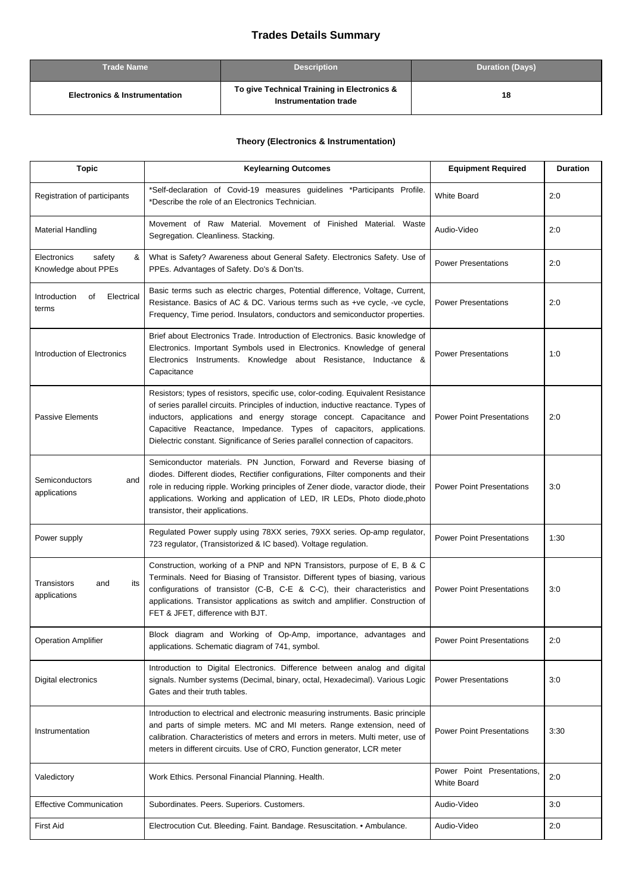## **Trades Details Summary**

| <b>Trade Name</b>                        | <b>Description</b>                                                   | <b>Duration (Days)</b> |
|------------------------------------------|----------------------------------------------------------------------|------------------------|
| <b>Electronics &amp; Instrumentation</b> | To give Technical Training in Electronics &<br>Instrumentation trade | 18                     |

## **Theory (Electronics & Instrumentation)**

| <b>Topic</b>                                       | <b>Keylearning Outcomes</b>                                                                                                                                                                                                                                                                                                                                                                             | <b>Equipment Required</b>                 | <b>Duration</b> |
|----------------------------------------------------|---------------------------------------------------------------------------------------------------------------------------------------------------------------------------------------------------------------------------------------------------------------------------------------------------------------------------------------------------------------------------------------------------------|-------------------------------------------|-----------------|
| Registration of participants                       | *Self-declaration of Covid-19 measures guidelines *Participants Profile.<br>*Describe the role of an Electronics Technician.                                                                                                                                                                                                                                                                            | <b>White Board</b>                        | 2:0             |
| <b>Material Handling</b>                           | Movement of Raw Material. Movement of Finished Material. Waste<br>Segregation. Cleanliness. Stacking.                                                                                                                                                                                                                                                                                                   | Audio-Video                               | 2:0             |
| Electronics<br>safety<br>&<br>Knowledge about PPEs | What is Safety? Awareness about General Safety. Electronics Safety. Use of<br>PPEs. Advantages of Safety. Do's & Don'ts.                                                                                                                                                                                                                                                                                | <b>Power Presentations</b>                | 2:0             |
| Introduction<br>Electrical<br>of<br>terms          | Basic terms such as electric charges, Potential difference, Voltage, Current,<br>Resistance. Basics of AC & DC. Various terms such as +ve cycle, -ve cycle,<br>Frequency, Time period. Insulators, conductors and semiconductor properties.                                                                                                                                                             | <b>Power Presentations</b>                | 2:0             |
| Introduction of Electronics                        | Brief about Electronics Trade. Introduction of Electronics. Basic knowledge of<br>Electronics. Important Symbols used in Electronics. Knowledge of general<br>Electronics Instruments. Knowledge about Resistance, Inductance &<br>Capacitance                                                                                                                                                          | <b>Power Presentations</b>                | 1:0             |
| Passive Elements                                   | Resistors; types of resistors, specific use, color-coding. Equivalent Resistance<br>of series parallel circuits. Principles of induction, inductive reactance. Types of<br>inductors, applications and energy storage concept. Capacitance and<br>Capacitive Reactance, Impedance. Types of capacitors, applications.<br>Dielectric constant. Significance of Series parallel connection of capacitors. | <b>Power Point Presentations</b>          | 2:0             |
| Semiconductors<br>and<br>applications              | Semiconductor materials. PN Junction, Forward and Reverse biasing of<br>diodes. Different diodes, Rectifier configurations, Filter components and their<br>role in reducing ripple. Working principles of Zener diode, varactor diode, their<br>applications. Working and application of LED, IR LEDs, Photo diode, photo<br>transistor, their applications.                                            | <b>Power Point Presentations</b>          | 3:0             |
| Power supply                                       | Regulated Power supply using 78XX series, 79XX series. Op-amp regulator,<br>723 regulator, (Transistorized & IC based). Voltage regulation.                                                                                                                                                                                                                                                             | <b>Power Point Presentations</b>          | 1:30            |
| Transistors<br>and<br>its<br>applications          | Construction, working of a PNP and NPN Transistors, purpose of E, B & C<br>Terminals. Need for Biasing of Transistor. Different types of biasing, various<br>configurations of transistor (C-B, C-E & C-C), their characteristics and<br>applications. Transistor applications as switch and amplifier. Construction of<br>FET & JFET, difference with BJT.                                             | <b>Power Point Presentations</b>          | 3:0             |
| <b>Operation Amplifier</b>                         | Block diagram and Working of Op-Amp, importance, advantages and<br>applications. Schematic diagram of 741, symbol.                                                                                                                                                                                                                                                                                      | <b>Power Point Presentations</b>          | 2:0             |
| Digital electronics                                | Introduction to Digital Electronics. Difference between analog and digital<br>signals. Number systems (Decimal, binary, octal, Hexadecimal). Various Logic<br>Gates and their truth tables.                                                                                                                                                                                                             | <b>Power Presentations</b>                | 3:0             |
| Instrumentation                                    | Introduction to electrical and electronic measuring instruments. Basic principle<br>and parts of simple meters. MC and MI meters. Range extension, need of<br>calibration. Characteristics of meters and errors in meters. Multi meter, use of<br>meters in different circuits. Use of CRO, Function generator, LCR meter                                                                               | <b>Power Point Presentations</b>          | 3:30            |
| Valedictory                                        | Work Ethics. Personal Financial Planning. Health.                                                                                                                                                                                                                                                                                                                                                       | Power Point Presentations,<br>White Board | 2:0             |
| <b>Effective Communication</b>                     | Subordinates. Peers. Superiors. Customers.                                                                                                                                                                                                                                                                                                                                                              | Audio-Video                               | 3:0             |
| <b>First Aid</b>                                   | Electrocution Cut. Bleeding. Faint. Bandage. Resuscitation. • Ambulance.                                                                                                                                                                                                                                                                                                                                | Audio-Video                               | 2:0             |